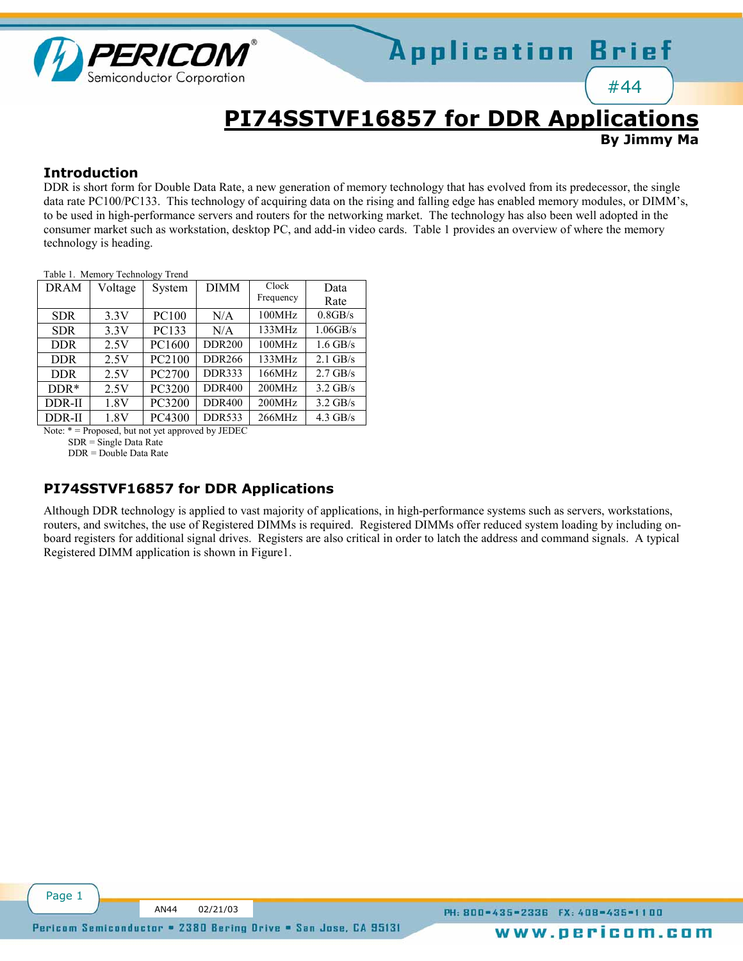

## **PI74SSTVF16857 for DDR Applications**

**By Jimmy Ma**

#44

#### **Introduction**

DDR is short form for Double Data Rate, a new generation of memory technology that has evolved from its predecessor, the single data rate PC100/PC133. This technology of acquiring data on the rising and falling edge has enabled memory modules, or DIMM's, to be used in high-performance servers and routers for the networking market. The technology has also been well adopted in the consumer market such as workstation, desktop PC, and add-in video cards. Table 1 provides an overview of where the memory technology is heading.

Table 1. Memory Technology Trend

| <b>DRAM</b> | Voltage | System | <b>DIMM</b>   | Clock     | Data        |
|-------------|---------|--------|---------------|-----------|-------------|
|             |         |        |               | Frequency | Rate        |
| <b>SDR</b>  | 3.3V    | PC100  | N/A           | 100MHz    | 0.8GB/s     |
| <b>SDR</b>  | 3.3V    | PC133  | N/A           | 133MHz    | $1.06$ GB/s |
| <b>DDR</b>  | 2.5V    | PC1600 | <b>DDR200</b> | 100MHz    | $1.6$ GB/s  |
| <b>DDR</b>  | 2.5V    | PC2100 | <b>DDR266</b> | 133MHz    | $2.1$ GB/s  |
| <b>DDR</b>  | 2.5V    | PC2700 | <b>DDR333</b> | 166MHz    | $2.7$ GB/s  |
| $DDR*$      | 2.5V    | PC3200 | <b>DDR400</b> | 200MHz    | $3.2$ GB/s  |
| DDR-II      | 1.8V    | PC3200 | <b>DDR400</b> | 200MHz    | $3.2$ GB/s  |
| DDR-II      | 1.8V    | PC4300 | <b>DDR533</b> | 266MHz    | $4.3$ GB/s  |

Note: \* = Proposed, but not yet approved by JEDEC

SDR = Single Data Rate

DDR = Double Data Rate

### **PI74SSTVF16857 for DDR Applications**

Although DDR technology is applied to vast majority of applications, in high-performance systems such as servers, workstations, routers, and switches, the use of Registered DIMMs is required. Registered DIMMs offer reduced system loading by including onboard registers for additional signal drives. Registers are also critical in order to latch the address and command signals. A typical Registered DIMM application is shown in Figure1.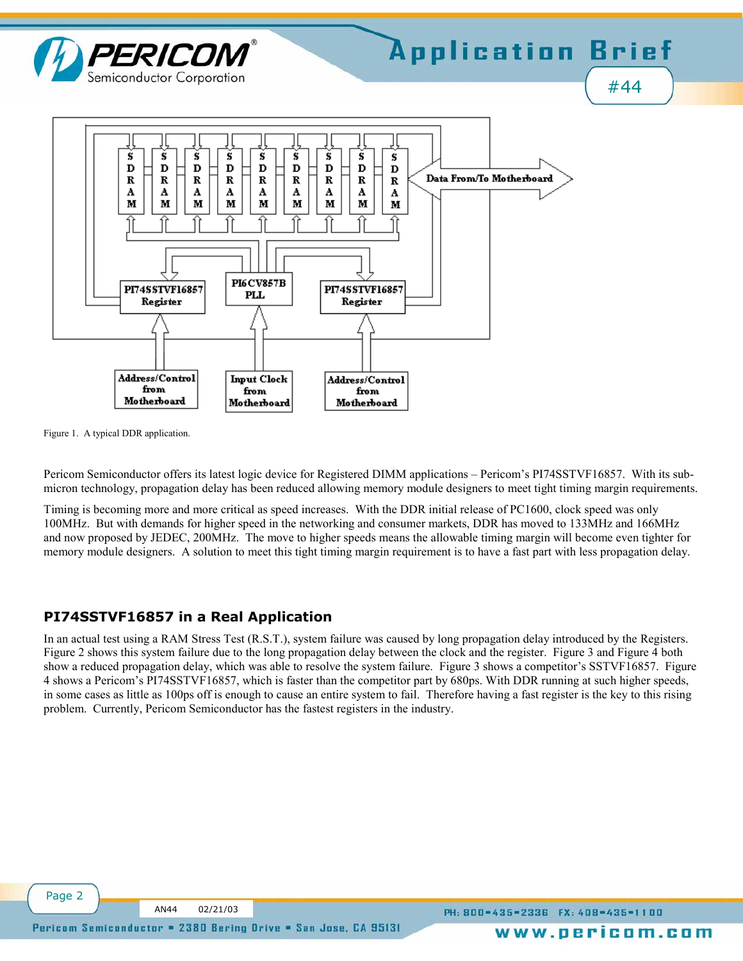

Figure 1. A typical DDR application.

Pericom Semiconductor offers its latest logic device for Registered DIMM applications – Pericom's PI74SSTVF16857. With its submicron technology, propagation delay has been reduced allowing memory module designers to meet tight timing margin requirements.

Timing is becoming more and more critical as speed increases. With the DDR initial release of PC1600, clock speed was only 100MHz. But with demands for higher speed in the networking and consumer markets, DDR has moved to 133MHz and 166MHz and now proposed by JEDEC, 200MHz. The move to higher speeds means the allowable timing margin will become even tighter for memory module designers. A solution to meet this tight timing margin requirement is to have a fast part with less propagation delay.

### **PI74SSTVF16857 in a Real Application**

In an actual test using a RAM Stress Test (R.S.T.), system failure was caused by long propagation delay introduced by the Registers. Figure 2 shows this system failure due to the long propagation delay between the clock and the register. Figure 3 and Figure 4 both show a reduced propagation delay, which was able to resolve the system failure. Figure 3 shows a competitor's SSTVF16857. Figure 4 shows a Pericomís PI74SSTVF16857, which is faster than the competitor part by 680ps. With DDR running at such higher speeds, in some cases as little as 100ps off is enough to cause an entire system to fail. Therefore having a fast register is the key to this rising problem. Currently, Pericom Semiconductor has the fastest registers in the industry.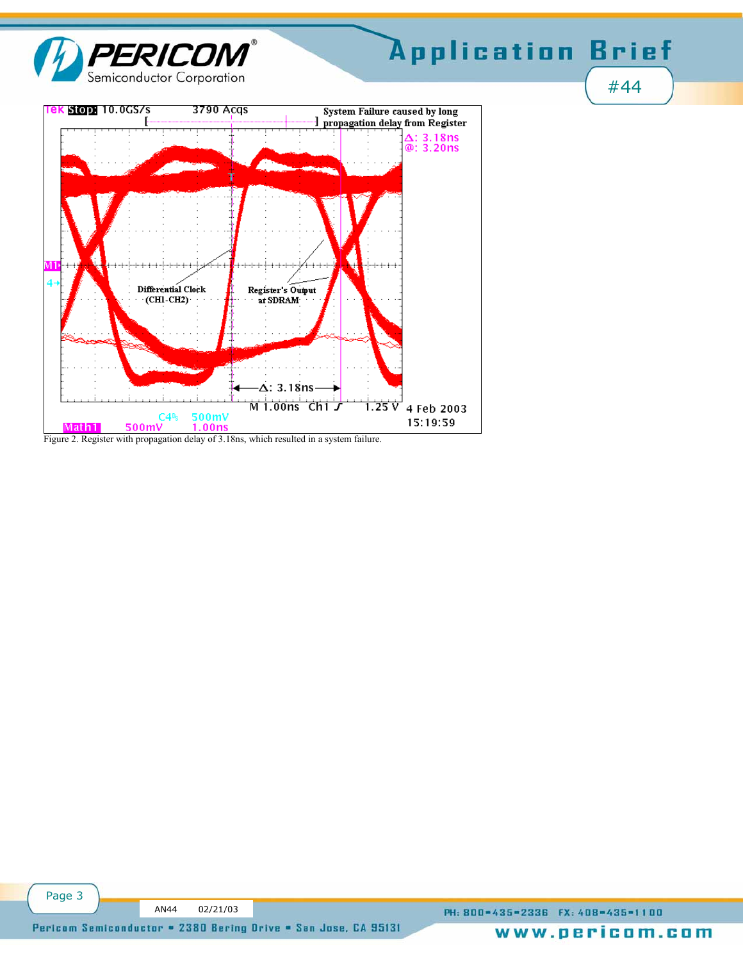

# Application Brief

#44

ek Stop 10.0GS/s 3790 Acgs **System Failure caused by long** E I propagation delay from Register  $\Delta$ : 3.18ns<br>@: 3.20ns Register's Output<br>at SDRAM Differential Clock  $CHI-CH2$  $-\Delta$ : 3.18ns Mi.oons Chi 1.25 V 4 Feb 2003  $500mV$ <br>1.00ns  $C4$ <sup>n</sup>s 15:19:59 500mV Math1

Figure 2. Register with propagation delay of 3.18ns, which resulted in a system failure.

Page 3

PH: 800=435=2336 FX: 408=435=1100